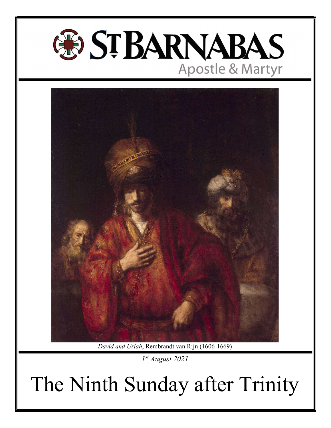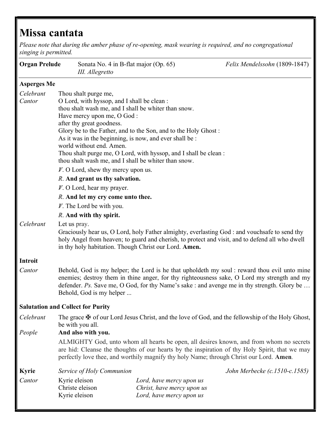# Missa cantata

Please note that during the amber phase of re-opening, mask wearing is required, and no congregational singing is permitted.

| <b>Organ Prelude</b> | Sonata No. 4 in B-flat major (Op. 65)<br>III. Allegretto                                                                                                                                                                                                                                                                                                                                                                                                                                                              |                                                                                    | Felix Mendelssohn (1809-1847) |  |
|----------------------|-----------------------------------------------------------------------------------------------------------------------------------------------------------------------------------------------------------------------------------------------------------------------------------------------------------------------------------------------------------------------------------------------------------------------------------------------------------------------------------------------------------------------|------------------------------------------------------------------------------------|-------------------------------|--|
| <b>Asperges Me</b>   |                                                                                                                                                                                                                                                                                                                                                                                                                                                                                                                       |                                                                                    |                               |  |
| Celebrant<br>Cantor  | Thou shalt purge me,<br>O Lord, with hyssop, and I shall be clean :<br>thou shalt wash me, and I shall be whiter than snow.<br>Have mercy upon me, O God :<br>after thy great goodness.<br>Glory be to the Father, and to the Son, and to the Holy Ghost:<br>As it was in the beginning, is now, and ever shall be :<br>world without end. Amen.<br>Thou shalt purge me, O Lord, with hyssop, and I shall be clean :<br>thou shalt wash me, and I shall be whiter than snow.<br>$V$ . O Lord, shew thy mercy upon us. |                                                                                    |                               |  |
|                      | R. And grant us thy salvation.                                                                                                                                                                                                                                                                                                                                                                                                                                                                                        |                                                                                    |                               |  |
|                      | $V$ . O Lord, hear my prayer.                                                                                                                                                                                                                                                                                                                                                                                                                                                                                         |                                                                                    |                               |  |
|                      | R. And let my cry come unto thee.                                                                                                                                                                                                                                                                                                                                                                                                                                                                                     |                                                                                    |                               |  |
|                      | $\n  V$ . The Lord be with you.                                                                                                                                                                                                                                                                                                                                                                                                                                                                                       |                                                                                    |                               |  |
|                      | R. And with thy spirit.                                                                                                                                                                                                                                                                                                                                                                                                                                                                                               |                                                                                    |                               |  |
| Celebrant            | Let us pray.<br>Graciously hear us, O Lord, holy Father almighty, everlasting God : and vouchsafe to send thy<br>holy Angel from heaven; to guard and cherish, to protect and visit, and to defend all who dwell<br>in thy holy habitation. Though Christ our Lord. Amen.                                                                                                                                                                                                                                             |                                                                                    |                               |  |
| <b>Introit</b>       |                                                                                                                                                                                                                                                                                                                                                                                                                                                                                                                       |                                                                                    |                               |  |
| Cantor               | Behold, God is my helper; the Lord is he that upholdeth my soul : reward thou evil unto mine<br>enemies; destroy them in thine anger, for thy righteousness sake, O Lord my strength and my<br>defender. Ps. Save me, O God, for thy Name's sake: and avenge me in thy strength. Glory be<br>Behold, God is my helper                                                                                                                                                                                                 |                                                                                    |                               |  |
|                      | <b>Salutation and Collect for Purity</b>                                                                                                                                                                                                                                                                                                                                                                                                                                                                              |                                                                                    |                               |  |
| Celebrant            | The grace $\mathbf{\Psi}$ of our Lord Jesus Christ, and the love of God, and the fellowship of the Holy Ghost,<br>be with you all.                                                                                                                                                                                                                                                                                                                                                                                    |                                                                                    |                               |  |
| People               | And also with you.                                                                                                                                                                                                                                                                                                                                                                                                                                                                                                    |                                                                                    |                               |  |
|                      | ALMIGHTY God, unto whom all hearts be open, all desires known, and from whom no secrets<br>are hid: Cleanse the thoughts of our hearts by the inspiration of thy Holy Spirit, that we may<br>perfectly love thee, and worthily magnify thy holy Name; through Christ our Lord. Amen.                                                                                                                                                                                                                                  |                                                                                    |                               |  |
| <b>Kyrie</b>         | Service of Holy Communion                                                                                                                                                                                                                                                                                                                                                                                                                                                                                             |                                                                                    | John Merbecke (c.1510-c.1585) |  |
| Cantor               | Kyrie eleison<br>Christe eleison<br>Kyrie eleison                                                                                                                                                                                                                                                                                                                                                                                                                                                                     | Lord, have mercy upon us<br>Christ, have mercy upon us<br>Lord, have mercy upon us |                               |  |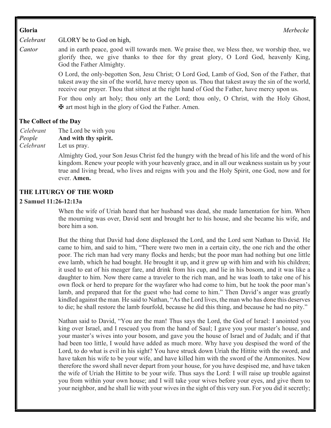Celebrant GLORY be to God on high,

Cantor and in earth peace, good will towards men. We praise thee, we bless thee, we worship thee, we glorify thee, we give thanks to thee for thy great glory, O Lord God, heavenly King, God the Father Almighty.

> O Lord, the only-begotten Son, Jesu Christ; O Lord God, Lamb of God, Son of the Father, that takest away the sin of the world, have mercy upon us. Thou that takest away the sin of the world, receive our prayer. Thou that sittest at the right hand of God the Father, have mercy upon us.

> For thou only art holy; thou only art the Lord; thou only, O Christ, with the Holy Ghost, ✠ art most high in the glory of God the Father. Amen.

# The Collect of the Day

Celebrant The Lord be with you

#### People And with thy spirit.

Celebrant Let us pray.

Almighty God, your Son Jesus Christ fed the hungry with the bread of his life and the word of his kingdom. Renew your people with your heavenly grace, and in all our weakness sustain us by your true and living bread, who lives and reigns with you and the Holy Spirit, one God, now and for ever. Amen.

# THE LITURGY OF THE WORD

#### 2 Samuel 11:26-12:13a

When the wife of Uriah heard that her husband was dead, she made lamentation for him. When the mourning was over, David sent and brought her to his house, and she became his wife, and bore him a son.

But the thing that David had done displeased the Lord, and the Lord sent Nathan to David. He came to him, and said to him, "There were two men in a certain city, the one rich and the other poor. The rich man had very many flocks and herds; but the poor man had nothing but one little ewe lamb, which he had bought. He brought it up, and it grew up with him and with his children; it used to eat of his meager fare, and drink from his cup, and lie in his bosom, and it was like a daughter to him. Now there came a traveler to the rich man, and he was loath to take one of his own flock or herd to prepare for the wayfarer who had come to him, but he took the poor man's lamb, and prepared that for the guest who had come to him." Then David's anger was greatly kindled against the man. He said to Nathan, "As the Lord lives, the man who has done this deserves to die; he shall restore the lamb fourfold, because he did this thing, and because he had no pity."

Nathan said to David, "You are the man! Thus says the Lord, the God of Israel: I anointed you king over Israel, and I rescued you from the hand of Saul; I gave you your master's house, and your master's wives into your bosom, and gave you the house of Israel and of Judah; and if that had been too little, I would have added as much more. Why have you despised the word of the Lord, to do what is evil in his sight? You have struck down Uriah the Hittite with the sword, and have taken his wife to be your wife, and have killed him with the sword of the Ammonites. Now therefore the sword shall never depart from your house, for you have despised me, and have taken the wife of Uriah the Hittite to be your wife. Thus says the Lord: I will raise up trouble against you from within your own house; and I will take your wives before your eyes, and give them to your neighbor, and he shall lie with your wives in the sight of this very sun. For you did it secretly;

Gloria Merbecke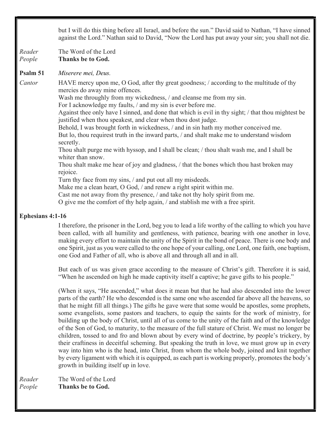but I will do this thing before all Israel, and before the sun." David said to Nathan, "I have sinned against the Lord." Nathan said to David, "Now the Lord has put away your sin; you shall not die.

Reader The Word of the Lord

People Thanks be to God.

Psalm 51 Miserere mei, Deus.

Cantor HAVE mercy upon me, O God, after thy great goodness; / according to the multitude of thy mercies do away mine offences.

Wash me throughly from my wickedness, / and cleanse me from my sin.

For I acknowledge my faults, / and my sin is ever before me.

Against thee only have I sinned, and done that which is evil in thy sight; / that thou mightest be justified when thou speakest, and clear when thou dost judge.

Behold, I was brought forth in wickedness, / and in sin hath my mother conceived me. But lo, thou requirest truth in the inward parts, / and shalt make me to understand wisdom secretly.

Thou shalt purge me with hyssop, and I shall be clean; / thou shalt wash me, and I shall be whiter than snow.

Thou shalt make me hear of joy and gladness, / that the bones which thou hast broken may rejoice.

Turn thy face from my sins, / and put out all my misdeeds.

Make me a clean heart, O God, / and renew a right spirit within me.

Cast me not away from thy presence, / and take not thy holy spirit from me.

O give me the comfort of thy help again, / and stablish me with a free spirit.

# Ephesians 4:1-16

I therefore, the prisoner in the Lord, beg you to lead a life worthy of the calling to which you have been called, with all humility and gentleness, with patience, bearing with one another in love, making every effort to maintain the unity of the Spirit in the bond of peace. There is one body and one Spirit, just as you were called to the one hope of your calling, one Lord, one faith, one baptism, one God and Father of all, who is above all and through all and in all.

But each of us was given grace according to the measure of Christ's gift. Therefore it is said, "When he ascended on high he made captivity itself a captive; he gave gifts to his people."

(When it says, "He ascended," what does it mean but that he had also descended into the lower parts of the earth? He who descended is the same one who ascended far above all the heavens, so that he might fill all things.) The gifts he gave were that some would be apostles, some prophets, some evangelists, some pastors and teachers, to equip the saints for the work of ministry, for building up the body of Christ, until all of us come to the unity of the faith and of the knowledge of the Son of God, to maturity, to the measure of the full stature of Christ. We must no longer be children, tossed to and fro and blown about by every wind of doctrine, by people's trickery, by their craftiness in deceitful scheming. But speaking the truth in love, we must grow up in every way into him who is the head, into Christ, from whom the whole body, joined and knit together by every ligament with which it is equipped, as each part is working properly, promotes the body's growth in building itself up in love.

Reader The Word of the Lord People Thanks be to God.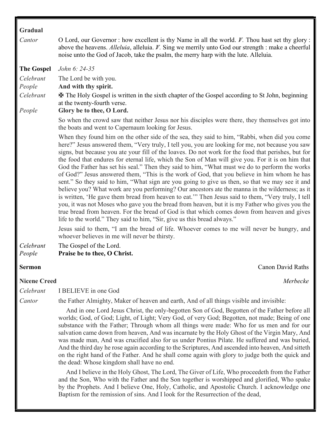#### Gradual

*Cantor* O Lord, our Governor : how excellent is thy Name in all the world.  $\mathcal V$ . Thou hast set thy glory : above the heavens. Alleluia, alleluia.  $\n V.$  Sing we merrily unto God our strength : make a cheerful noise unto the God of Jacob, take the psalm, the merry harp with the lute. Alleluia.

**The Gospel** John  $6: 24-35$ Celebrant The Lord be with you. People And with thy spirit. Celebrant  $\mathbf{\Psi}$  The Holy Gospel is written in the sixth chapter of the Gospel according to St John, beginning at the twenty-fourth verse. People Glory be to thee, O Lord. So when the crowd saw that neither Jesus nor his disciples were there, they themselves got into the boats and went to Capernaum looking for Jesus. When they found him on the other side of the sea, they said to him, "Rabbi, when did you come here?" Jesus answered them, "Very truly, I tell you, you are looking for me, not because you saw signs, but because you ate your fill of the loaves. Do not work for the food that perishes, but for the food that endures for eternal life, which the Son of Man will give you. For it is on him that God the Father has set his seal." Then they said to him, "What must we do to perform the works of God?" Jesus answered them, "This is the work of God, that you believe in him whom he has sent." So they said to him, "What sign are you going to give us then, so that we may see it and believe you? What work are you performing? Our ancestors ate the manna in the wilderness; as it is written, 'He gave them bread from heaven to eat.'" Then Jesus said to them, "Very truly, I tell you, it was not Moses who gave you the bread from heaven, but it is my Father who gives you the true bread from heaven. For the bread of God is that which comes down from heaven and gives life to the world." They said to him, "Sir, give us this bread always." Jesus said to them, "I am the bread of life. Whoever comes to me will never be hungry, and whoever believes in me will never be thirsty. Celebrant The Gospel of the Lord.

People Praise be to thee, O Christ.

#### Sermon Canon David Raths

#### **Nicene Creed** Merbecke

Celebrant I BELIEVE in one God

Cantor the Father Almighty, Maker of heaven and earth, And of all things visible and invisible:

 And in one Lord Jesus Christ, the only-begotten Son of God, Begotten of the Father before all worlds; God, of God; Light, of Light; Very God, of very God; Begotten, not made; Being of one substance with the Father; Through whom all things were made: Who for us men and for our salvation came down from heaven, And was incarnate by the Holy Ghost of the Virgin Mary, And was made man, And was crucified also for us under Pontius Pilate. He suffered and was buried, And the third day he rose again according to the Scriptures, And ascended into heaven, And sitteth on the right hand of the Father. And he shall come again with glory to judge both the quick and the dead: Whose kingdom shall have no end.

 And I believe in the Holy Ghost, The Lord, The Giver of Life, Who proceedeth from the Father and the Son, Who with the Father and the Son together is worshipped and glorified, Who spake by the Prophets. And I believe One, Holy, Catholic, and Apostolic Church. I acknowledge one Baptism for the remission of sins. And I look for the Resurrection of the dead,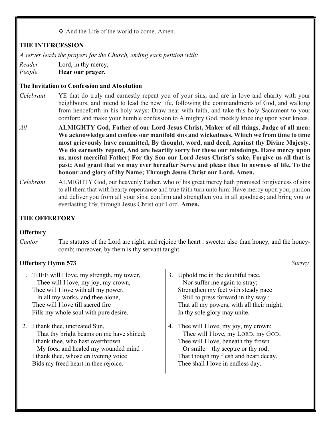✠ And the Life of the world to come. Amen.

# THE INTERCESSION

A server leads the prayers for the Church, ending each petition with:

Reader Lord, in thy mercy,

People **Hear our prayer.** 

### The Invitation to Confession and Absolution

- Celebrant YE that do truly and earnestly repent you of your sins, and are in love and charity with your neighbours, and intend to lead the new life, following the commandments of God, and walking from henceforth in his holy ways: Draw near with faith, and take this holy Sacrament to your comfort; and make your humble confession to Almighty God, meekly kneeling upon your knees.
- All **ALMIGHTY God, Father of our Lord Jesus Christ, Maker of all things, Judge of all men:** We acknowledge and confess our manifold sins and wickedness, Which we from time to time most grievously have committed, By thought, word, and deed, Against thy Divine Majesty. We do earnestly repent, And are heartily sorry for these our misdoings. Have mercy upon us, most merciful Father; For thy Son our Lord Jesus Christ's sake, Forgive us all that is past; And grant that we may ever hereafter Serve and please thee In newness of life, To the honour and glory of thy Name; Through Jesus Christ our Lord. Amen.
- Celebrant ALMIGHTY God, our heavenly Father, who of his great mercy hath promised forgiveness of sins to all them that with hearty repentance and true faith turn unto him: Have mercy upon you; pardon and deliver you from all your sins; confirm and strengthen you in all goodness; and bring you to everlasting life; through Jesus Christ our Lord. Amen.

# THE OFFERTORY

# **Offertory**

Cantor The statutes of the Lord are right, and rejoice the heart : sweeter also than honey, and the honeycomb; moreover, by them is thy servant taught.

# **Offertory Hymn 573** Surrey Surrey Surrey Surrey Surrey Surrey Surrey Surrey Surrey Surrey Surrey Surrey Surrey

- 1. THEE will I love, my strength, my tower, Thee will I love, my joy, my crown, Thee will I love with all my power, In all my works, and thee alone, Thee will I love till sacred fire Fills my whole soul with pure desire.
- 2. I thank thee, uncreated Sun, That thy bright beams on me have shined; I thank thee, who hast overthrown My foes, and healed my wounded mind : I thank thee, whose enlivening voice Bids my freed heart in thee rejoice.
- 3. Uphold me in the doubtful race, Nor suffer me again to stray; Strengthen my feet with steady pace Still to press forward in thy way : That all my powers, with all their might, In thy sole glory may unite.
- 4. Thee will I love, my joy, my crown; Thee will I love, my LORD, my GOD; Thee will I love, beneath thy frown Or smile – thy sceptre or thy rod; That though my flesh and heart decay, Thee shall I love in endless day.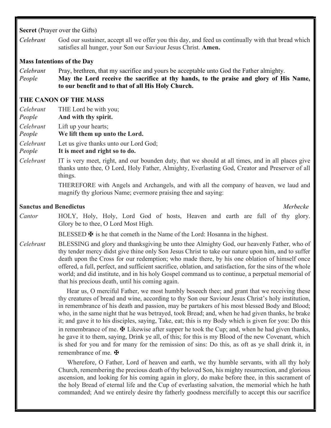#### Secret (Prayer over the Gifts)

Celebrant God our sustainer, accept all we offer you this day, and feed us continually with that bread which satisfies all hunger, your Son our Saviour Jesus Christ. Amen.

### Mass Intentions of the Day

- Celebrant Pray, brethren, that my sacrifice and yours be acceptable unto God the Father almighty.
- People May the Lord receive the sacrifice at thy hands, to the praise and glory of His Name, to our benefit and to that of all His Holy Church.

# THE CANON OF THE MASS

- Celebrant THE Lord be with you;
- People And with thy spirit.
- Celebrant Lift up your hearts;

People We lift them up unto the Lord.

Celebrant Let us give thanks unto our Lord God;

People It is meet and right so to do.

Celebrant IT is very meet, right, and our bounden duty, that we should at all times, and in all places give thanks unto thee, O Lord, Holy Father, Almighty, Everlasting God, Creator and Preserver of all things.

> THEREFORE with Angels and Archangels, and with all the company of heaven, we laud and magnify thy glorious Name; evermore praising thee and saying:

#### Sanctus and Benedictus and Sanctus Merbecke and Sanctus Merbecke and Merbecke and Merbecke

Cantor HOLY, Holy, Holy, Lord God of hosts, Heaven and earth are full of thy glory. Glory be to thee, O Lord Most High.

BLESSED  $\maltese$  is he that cometh in the Name of the Lord: Hosanna in the highest.

Celebrant BLESSING and glory and thanksgiving be unto thee Almighty God, our heavenly Father, who of thy tender mercy didst give thine only Son Jesus Christ to take our nature upon him, and to suffer death upon the Cross for our redemption; who made there, by his one oblation of himself once offered, a full, perfect, and sufficient sacrifice, oblation, and satisfaction, for the sins of the whole world; and did institute, and in his holy Gospel command us to continue, a perpetual memorial of that his precious death, until his coming again.

> Hear us, O merciful Father, we most humbly beseech thee; and grant that we receiving these thy creatures of bread and wine, according to thy Son our Saviour Jesus Christ's holy institution, in remembrance of his death and passion, may be partakers of his most blessed Body and Blood; who, in the same night that he was betrayed, took Bread; and, when he had given thanks, he brake it; and gave it to his disciples, saying, Take, eat; this is my Body which is given for you: Do this in remembrance of me.  $\mathbf \Psi$  Likewise after supper he took the Cup; and, when he had given thanks, he gave it to them, saying, Drink ye all, of this; for this is my Blood of the new Covenant, which is shed for you and for many for the remission of sins: Do this, as oft as ye shall drink it, in remembrance of me.  $\mathbf{\ddot{H}}$

> Wherefore, O Father, Lord of heaven and earth, we thy humble servants, with all thy holy Church, remembering the precious death of thy beloved Son, his mighty resurrection, and glorious ascension, and looking for his coming again in glory, do make before thee, in this sacrament of the holy Bread of eternal life and the Cup of everlasting salvation, the memorial which he hath commanded; And we entirely desire thy fatherly goodness mercifully to accept this our sacrifice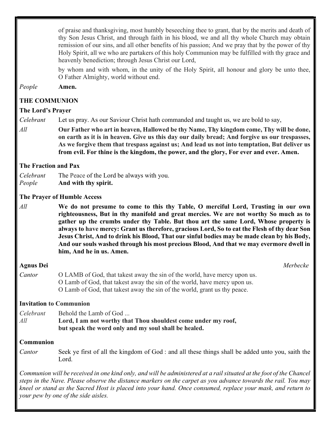of praise and thanksgiving, most humbly beseeching thee to grant, that by the merits and death of thy Son Jesus Christ, and through faith in his blood, we and all thy whole Church may obtain remission of our sins, and all other benefits of his passion; And we pray that by the power of thy Holy Spirit, all we who are partakers of this holy Communion may be fulfilled with thy grace and heavenly benediction; through Jesus Christ our Lord,

by whom and with whom, in the unity of the Holy Spirit, all honour and glory be unto thee, O Father Almighty, world without end.

People Amen.

### THE COMMUNION

#### The Lord's Prayer

Celebrant Let us pray. As our Saviour Christ hath commanded and taught us, we are bold to say,

 $All$  Our Father who art in heaven, Hallowed be thy Name, Thy kingdom come, Thy will be done, on earth as it is in heaven. Give us this day our daily bread; And forgive us our trespasses, As we forgive them that trespass against us; And lead us not into temptation, But deliver us from evil. For thine is the kingdom, the power, and the glory, For ever and ever. Amen.

#### The Fraction and Pax

Celebrant The Peace of the Lord be always with you. People **And with thy spirit.** 

#### The Prayer of Humble Access

 $All$  We do not presume to come to this thy Table, O merciful Lord, Trusting in our own righteousness, But in thy manifold and great mercies. We are not worthy So much as to gather up the crumbs under thy Table. But thou art the same Lord, Whose property is always to have mercy: Grant us therefore, gracious Lord, So to eat the Flesh of thy dear Son Jesus Christ, And to drink his Blood, That our sinful bodies may be made clean by his Body, And our souls washed through his most precious Blood, And that we may evermore dwell in him, And he in us. Amen.

# Agnus Dei Merbecke

Cantor O LAMB of God, that takest away the sin of the world, have mercy upon us. O Lamb of God, that takest away the sin of the world, have mercy upon us. O Lamb of God, that takest away the sin of the world, grant us thy peace.

# Invitation to Communion

Celebrant Behold the Lamb of God ... All Lord, I am not worthy that Thou shouldest come under my roof, but speak the word only and my soul shall be healed.

#### Communion

Cantor Seek ye first of all the kingdom of God : and all these things shall be added unto you, saith the Lord.

Communion will be received in one kind only, and will be administered at a rail situated at the foot of the Chancel steps in the Nave. Please observe the distance markers on the carpet as you advance towards the rail. You may kneel or stand as the Sacred Host is placed into your hand. Once consumed, replace your mask, and return to your pew by one of the side aisles.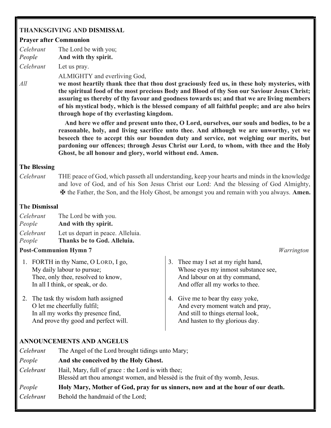# THANKSGIVING AND DISMISSAL

### Prayer after Communion

| Celebrant | The Lord be with you; |
|-----------|-----------------------|
| People    | And with thy spirit.  |

Celebrant Let us pray.

ALMIGHTY and everliving God,

 $All$  we most heartily thank thee that thou dost graciously feed us, in these holy mysteries, with the spiritual food of the most precious Body and Blood of thy Son our Saviour Jesus Christ; assuring us thereby of thy favour and goodness towards us; and that we are living members of his mystical body, which is the blessed company of all faithful people; and are also heirs through hope of thy everlasting kingdom.

> And here we offer and present unto thee, O Lord, ourselves, our souls and bodies, to be a reasonable, holy, and living sacrifice unto thee. And although we are unworthy, yet we beseech thee to accept this our bounden duty and service, not weighing our merits, but pardoning our offences; through Jesus Christ our Lord, to whom, with thee and the Holy Ghost, be all honour and glory, world without end. Amen.

# The Blessing

Celebrant THE peace of God, which passeth all understanding, keep your hearts and minds in the knowledge and love of God, and of his Son Jesus Christ our Lord: And the blessing of God Almighty, ✠ the Father, the Son, and the Holy Ghost, be amongst you and remain with you always. Amen.

# The Dismissal

| Celebrant | The Lord be with you.             |
|-----------|-----------------------------------|
| People    | And with thy spirit.              |
| Celebrant | Let us depart in peace. Alleluia. |
| People    | Thanks be to God. Alleluia.       |

# **Post-Communion Hymn 7** November 1988 and the United States of Warrington

- 1. FORTH in thy Name, O LORD, I go, My daily labour to pursue; Thee, only thee, resolved to know, In all I think, or speak, or do.
- 2. The task thy wisdom hath assigned O let me cheerfully fulfil; In all my works thy presence find, And prove thy good and perfect will.
- 3. Thee may I set at my right hand, Whose eyes my inmost substance see, And labour on at thy command, And offer all my works to thee.
- 4. Give me to bear thy easy yoke, And every moment watch and pray, And still to things eternal look, And hasten to thy glorious day.

# ANNOUNCEMENTS AND ANGELUS

| The Angel of the Lord brought tidings unto Mary;                                                                                   |  |  |
|------------------------------------------------------------------------------------------------------------------------------------|--|--|
| And she conceived by the Holy Ghost.                                                                                               |  |  |
| Hail, Mary, full of grace : the Lord is with thee;<br>Blessed art thou amongst women, and blessed is the fruit of thy womb, Jesus. |  |  |
| Holy Mary, Mother of God, pray for us sinners, now and at the hour of our death.                                                   |  |  |
| Behold the handmaid of the Lord;                                                                                                   |  |  |
|                                                                                                                                    |  |  |